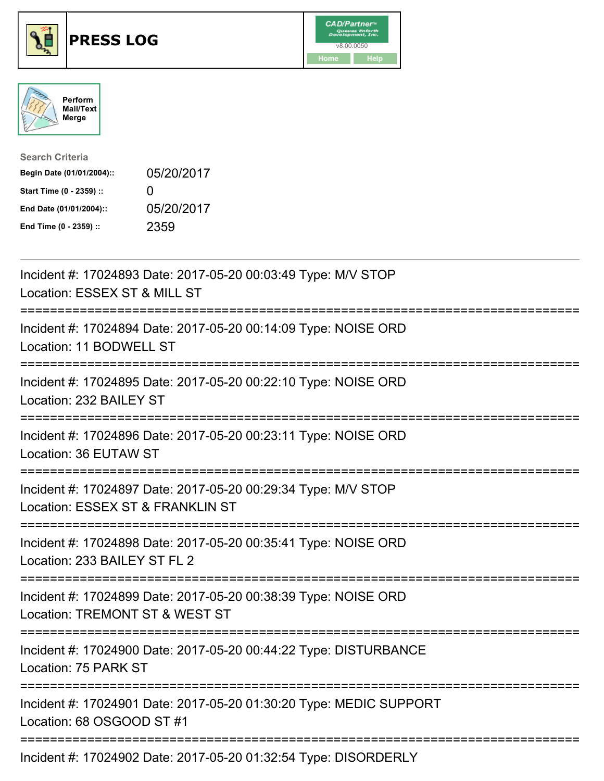





| <b>Search Criteria</b>    |                   |
|---------------------------|-------------------|
| Begin Date (01/01/2004):: | 05/20/2017        |
| Start Time (0 - 2359) ::  | $\mathbf{\Omega}$ |
| End Date (01/01/2004)::   | 05/20/2017        |
| End Time (0 - 2359) ::    | 2359              |

| Incident #: 17024893 Date: 2017-05-20 00:03:49 Type: M/V STOP<br>Location: ESSEX ST & MILL ST                               |
|-----------------------------------------------------------------------------------------------------------------------------|
| Incident #: 17024894 Date: 2017-05-20 00:14:09 Type: NOISE ORD<br>Location: 11 BODWELL ST                                   |
| Incident #: 17024895 Date: 2017-05-20 00:22:10 Type: NOISE ORD<br>Location: 232 BAILEY ST<br>.---------------               |
| Incident #: 17024896 Date: 2017-05-20 00:23:11 Type: NOISE ORD<br>Location: 36 EUTAW ST                                     |
| Incident #: 17024897 Date: 2017-05-20 00:29:34 Type: M/V STOP<br>Location: ESSEX ST & FRANKLIN ST                           |
| -------------------------<br>Incident #: 17024898 Date: 2017-05-20 00:35:41 Type: NOISE ORD<br>Location: 233 BAILEY ST FL 2 |
| Incident #: 17024899 Date: 2017-05-20 00:38:39 Type: NOISE ORD<br>Location: TREMONT ST & WEST ST                            |
| --------------------------<br>Incident #: 17024900 Date: 2017-05-20 00:44:22 Type: DISTURBANCE<br>Location: 75 PARK ST      |
| Incident #: 17024901 Date: 2017-05-20 01:30:20 Type: MEDIC SUPPORT<br>Location: 68 OSGOOD ST #1                             |
| Incident #: 17024902 Date: 2017-05-20 01:32:54 Type: DISORDERLY                                                             |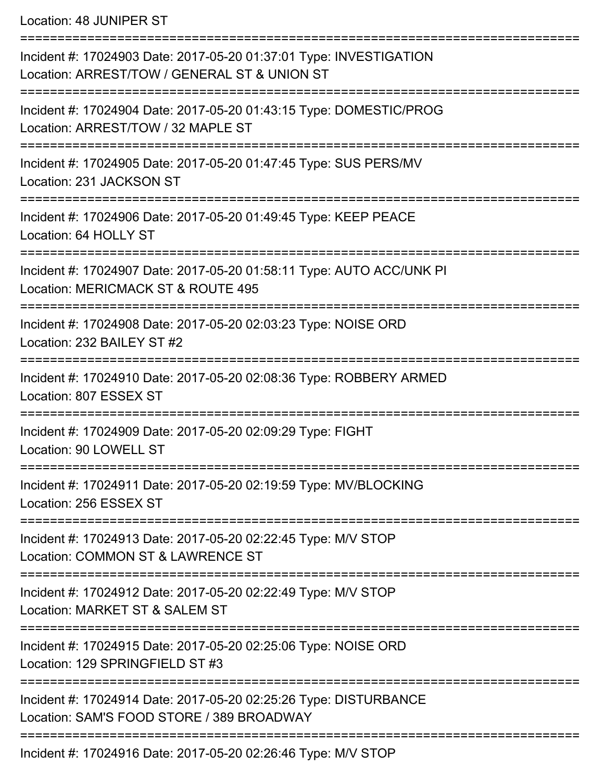Location: 48 JUNIPER ST

| Incident #: 17024903 Date: 2017-05-20 01:37:01 Type: INVESTIGATION<br>Location: ARREST/TOW / GENERAL ST & UNION ST |
|--------------------------------------------------------------------------------------------------------------------|
| Incident #: 17024904 Date: 2017-05-20 01:43:15 Type: DOMESTIC/PROG<br>Location: ARREST/TOW / 32 MAPLE ST           |
| Incident #: 17024905 Date: 2017-05-20 01:47:45 Type: SUS PERS/MV<br>Location: 231 JACKSON ST                       |
| Incident #: 17024906 Date: 2017-05-20 01:49:45 Type: KEEP PEACE<br>Location: 64 HOLLY ST                           |
| Incident #: 17024907 Date: 2017-05-20 01:58:11 Type: AUTO ACC/UNK PI<br>Location: MERICMACK ST & ROUTE 495         |
| Incident #: 17024908 Date: 2017-05-20 02:03:23 Type: NOISE ORD<br>Location: 232 BAILEY ST #2                       |
| Incident #: 17024910 Date: 2017-05-20 02:08:36 Type: ROBBERY ARMED<br>Location: 807 ESSEX ST                       |
| Incident #: 17024909 Date: 2017-05-20 02:09:29 Type: FIGHT<br>Location: 90 LOWELL ST                               |
| Incident #: 17024911 Date: 2017-05-20 02:19:59 Type: MV/BLOCKING<br>Location: 256 ESSEX ST                         |
| Incident #: 17024913 Date: 2017-05-20 02:22:45 Type: M/V STOP<br>Location: COMMON ST & LAWRENCE ST                 |
| Incident #: 17024912 Date: 2017-05-20 02:22:49 Type: M/V STOP<br>Location: MARKET ST & SALEM ST                    |
| Incident #: 17024915 Date: 2017-05-20 02:25:06 Type: NOISE ORD<br>Location: 129 SPRINGFIELD ST #3                  |
| Incident #: 17024914 Date: 2017-05-20 02:25:26 Type: DISTURBANCE<br>Location: SAM'S FOOD STORE / 389 BROADWAY      |
| Incident #: 17024916 Date: 2017-05-20 02:26:46 Type: M/V STOP                                                      |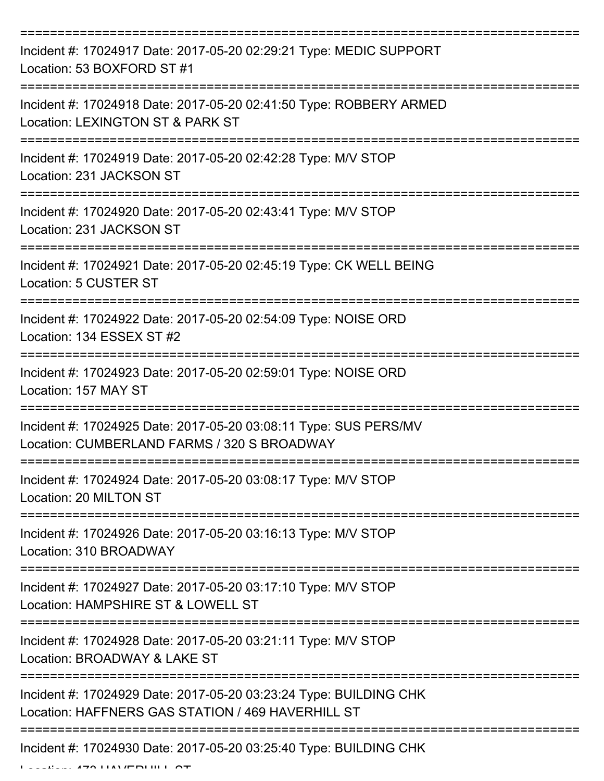| Incident #: 17024917 Date: 2017-05-20 02:29:21 Type: MEDIC SUPPORT<br>Location: 53 BOXFORD ST #1                                |
|---------------------------------------------------------------------------------------------------------------------------------|
| Incident #: 17024918 Date: 2017-05-20 02:41:50 Type: ROBBERY ARMED<br>Location: LEXINGTON ST & PARK ST                          |
| Incident #: 17024919 Date: 2017-05-20 02:42:28 Type: M/V STOP<br>Location: 231 JACKSON ST                                       |
| Incident #: 17024920 Date: 2017-05-20 02:43:41 Type: M/V STOP<br>Location: 231 JACKSON ST                                       |
| Incident #: 17024921 Date: 2017-05-20 02:45:19 Type: CK WELL BEING<br>Location: 5 CUSTER ST<br>-------------------------------- |
| Incident #: 17024922 Date: 2017-05-20 02:54:09 Type: NOISE ORD<br>Location: 134 ESSEX ST #2                                     |
| Incident #: 17024923 Date: 2017-05-20 02:59:01 Type: NOISE ORD<br>Location: 157 MAY ST                                          |
| Incident #: 17024925 Date: 2017-05-20 03:08:11 Type: SUS PERS/MV<br>Location: CUMBERLAND FARMS / 320 S BROADWAY                 |
| Incident #: 17024924 Date: 2017-05-20 03:08:17 Type: M/V STOP<br>Location: 20 MILTON ST                                         |
| Incident #: 17024926 Date: 2017-05-20 03:16:13 Type: M/V STOP<br>Location: 310 BROADWAY                                         |
| Incident #: 17024927 Date: 2017-05-20 03:17:10 Type: M/V STOP<br>Location: HAMPSHIRE ST & LOWELL ST                             |
| Incident #: 17024928 Date: 2017-05-20 03:21:11 Type: M/V STOP<br>Location: BROADWAY & LAKE ST                                   |
| Incident #: 17024929 Date: 2017-05-20 03:23:24 Type: BUILDING CHK<br>Location: HAFFNERS GAS STATION / 469 HAVERHILL ST          |
| Incident #: 17024930 Date: 2017-05-20 03:25:40 Type: BUILDING CHK                                                               |

Location: 473 HAVERHILL ST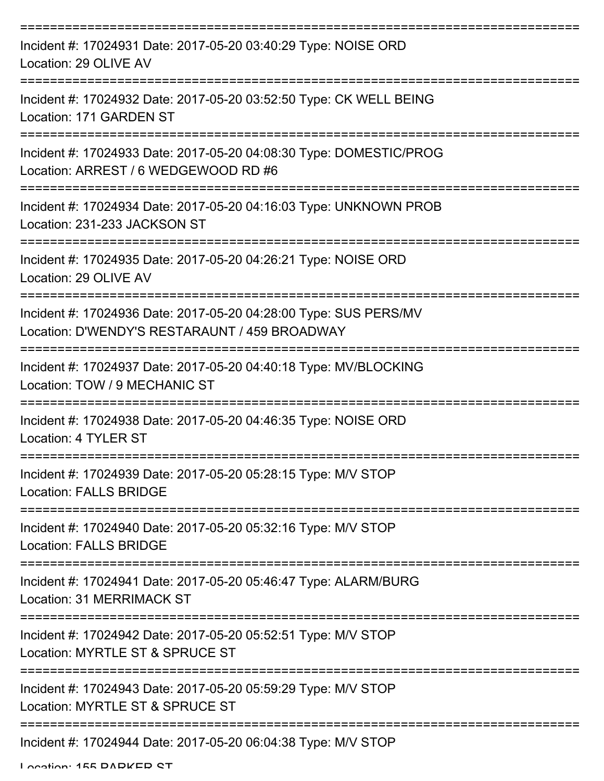| Incident #: 17024931 Date: 2017-05-20 03:40:29 Type: NOISE ORD<br>Location: 29 OLIVE AV                           |
|-------------------------------------------------------------------------------------------------------------------|
| Incident #: 17024932 Date: 2017-05-20 03:52:50 Type: CK WELL BEING<br>Location: 171 GARDEN ST                     |
| Incident #: 17024933 Date: 2017-05-20 04:08:30 Type: DOMESTIC/PROG<br>Location: ARREST / 6 WEDGEWOOD RD #6        |
| Incident #: 17024934 Date: 2017-05-20 04:16:03 Type: UNKNOWN PROB<br>Location: 231-233 JACKSON ST                 |
| Incident #: 17024935 Date: 2017-05-20 04:26:21 Type: NOISE ORD<br>Location: 29 OLIVE AV                           |
| Incident #: 17024936 Date: 2017-05-20 04:28:00 Type: SUS PERS/MV<br>Location: D'WENDY'S RESTARAUNT / 459 BROADWAY |
| Incident #: 17024937 Date: 2017-05-20 04:40:18 Type: MV/BLOCKING<br>Location: TOW / 9 MECHANIC ST                 |
| Incident #: 17024938 Date: 2017-05-20 04:46:35 Type: NOISE ORD<br>Location: 4 TYLER ST                            |
| Incident #: 17024939 Date: 2017-05-20 05:28:15 Type: M/V STOP<br><b>Location: FALLS BRIDGE</b>                    |
| Incident #: 17024940 Date: 2017-05-20 05:32:16 Type: M/V STOP<br><b>Location: FALLS BRIDGE</b>                    |
| Incident #: 17024941 Date: 2017-05-20 05:46:47 Type: ALARM/BURG<br>Location: 31 MERRIMACK ST                      |
| Incident #: 17024942 Date: 2017-05-20 05:52:51 Type: M/V STOP<br>Location: MYRTLE ST & SPRUCE ST                  |
| Incident #: 17024943 Date: 2017-05-20 05:59:29 Type: M/V STOP<br>Location: MYRTLE ST & SPRUCE ST                  |
| ---------------------------<br>Incident #: 17024944 Date: 2017-05-20 06:04:38 Type: M/V STOP                      |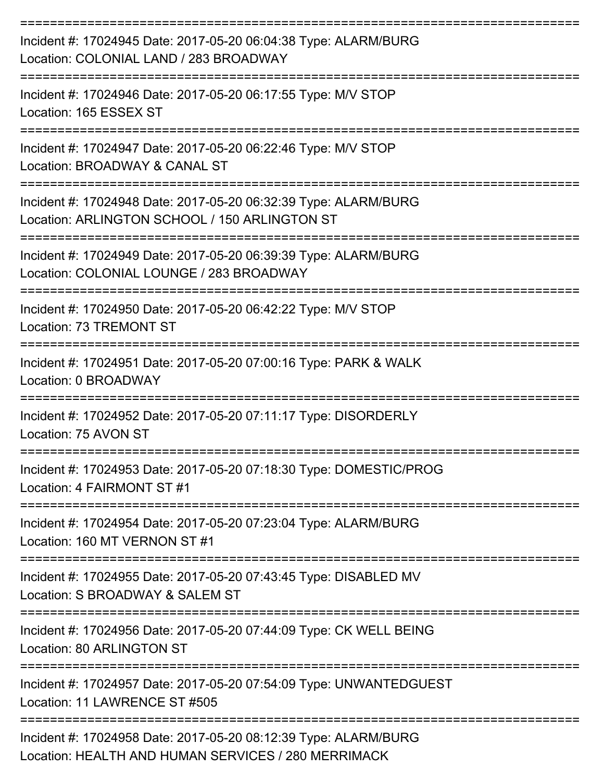| Incident #: 17024945 Date: 2017-05-20 06:04:38 Type: ALARM/BURG<br>Location: COLONIAL LAND / 283 BROADWAY                        |
|----------------------------------------------------------------------------------------------------------------------------------|
| Incident #: 17024946 Date: 2017-05-20 06:17:55 Type: M/V STOP<br>Location: 165 ESSEX ST                                          |
| Incident #: 17024947 Date: 2017-05-20 06:22:46 Type: M/V STOP<br>Location: BROADWAY & CANAL ST                                   |
| Incident #: 17024948 Date: 2017-05-20 06:32:39 Type: ALARM/BURG<br>Location: ARLINGTON SCHOOL / 150 ARLINGTON ST                 |
| Incident #: 17024949 Date: 2017-05-20 06:39:39 Type: ALARM/BURG<br>Location: COLONIAL LOUNGE / 283 BROADWAY<br>:================ |
| Incident #: 17024950 Date: 2017-05-20 06:42:22 Type: M/V STOP<br>Location: 73 TREMONT ST                                         |
| Incident #: 17024951 Date: 2017-05-20 07:00:16 Type: PARK & WALK<br>Location: 0 BROADWAY                                         |
| Incident #: 17024952 Date: 2017-05-20 07:11:17 Type: DISORDERLY<br>Location: 75 AVON ST                                          |
| Incident #: 17024953 Date: 2017-05-20 07:18:30 Type: DOMESTIC/PROG<br>Location: 4 FAIRMONT ST #1                                 |
| Incident #: 17024954 Date: 2017-05-20 07:23:04 Type: ALARM/BURG<br>Location: 160 MT VERNON ST #1                                 |
| Incident #: 17024955 Date: 2017-05-20 07:43:45 Type: DISABLED MV<br>Location: S BROADWAY & SALEM ST                              |
| Incident #: 17024956 Date: 2017-05-20 07:44:09 Type: CK WELL BEING<br><b>Location: 80 ARLINGTON ST</b>                           |
| Incident #: 17024957 Date: 2017-05-20 07:54:09 Type: UNWANTEDGUEST<br>Location: 11 LAWRENCE ST #505                              |
| Incident #: 17024958 Date: 2017-05-20 08:12:39 Type: ALARM/BURG<br>Location: HEALTH AND HUMAN SERVICES / 280 MERRIMACK           |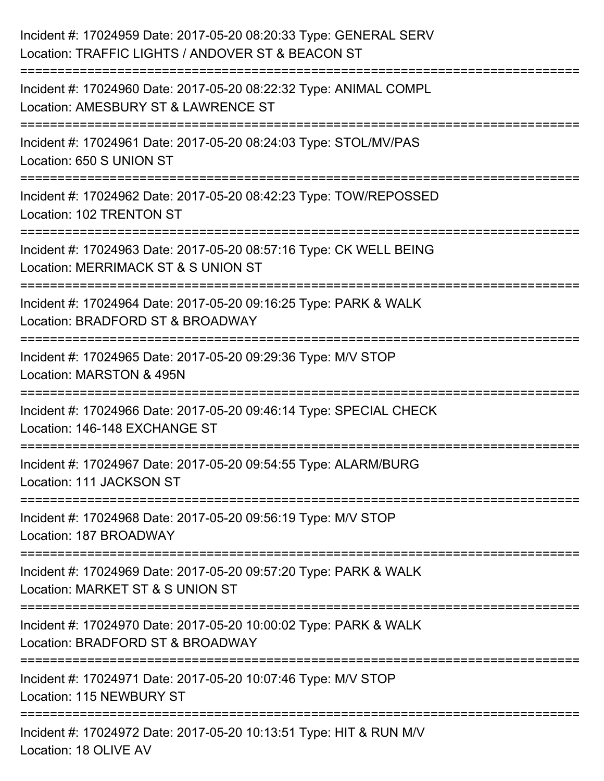| Incident #: 17024959 Date: 2017-05-20 08:20:33 Type: GENERAL SERV<br>Location: TRAFFIC LIGHTS / ANDOVER ST & BEACON ST |
|------------------------------------------------------------------------------------------------------------------------|
| Incident #: 17024960 Date: 2017-05-20 08:22:32 Type: ANIMAL COMPL<br>Location: AMESBURY ST & LAWRENCE ST               |
| Incident #: 17024961 Date: 2017-05-20 08:24:03 Type: STOL/MV/PAS<br>Location: 650 S UNION ST                           |
| Incident #: 17024962 Date: 2017-05-20 08:42:23 Type: TOW/REPOSSED<br>Location: 102 TRENTON ST                          |
| Incident #: 17024963 Date: 2017-05-20 08:57:16 Type: CK WELL BEING<br>Location: MERRIMACK ST & S UNION ST              |
| Incident #: 17024964 Date: 2017-05-20 09:16:25 Type: PARK & WALK<br>Location: BRADFORD ST & BROADWAY                   |
| =====================<br>Incident #: 17024965 Date: 2017-05-20 09:29:36 Type: M/V STOP<br>Location: MARSTON & 495N     |
| Incident #: 17024966 Date: 2017-05-20 09:46:14 Type: SPECIAL CHECK<br>Location: 146-148 EXCHANGE ST                    |
| Incident #: 17024967 Date: 2017-05-20 09:54:55 Type: ALARM/BURG<br>Location: 111 JACKSON ST                            |
| Incident #: 17024968 Date: 2017-05-20 09:56:19 Type: M/V STOP<br>Location: 187 BROADWAY                                |
| Incident #: 17024969 Date: 2017-05-20 09:57:20 Type: PARK & WALK<br>Location: MARKET ST & S UNION ST                   |
| Incident #: 17024970 Date: 2017-05-20 10:00:02 Type: PARK & WALK<br>Location: BRADFORD ST & BROADWAY                   |
| Incident #: 17024971 Date: 2017-05-20 10:07:46 Type: M/V STOP<br>Location: 115 NEWBURY ST                              |
| Incident #: 17024972 Date: 2017-05-20 10:13:51 Type: HIT & RUN M/V<br>Location: 18 OLIVE AV                            |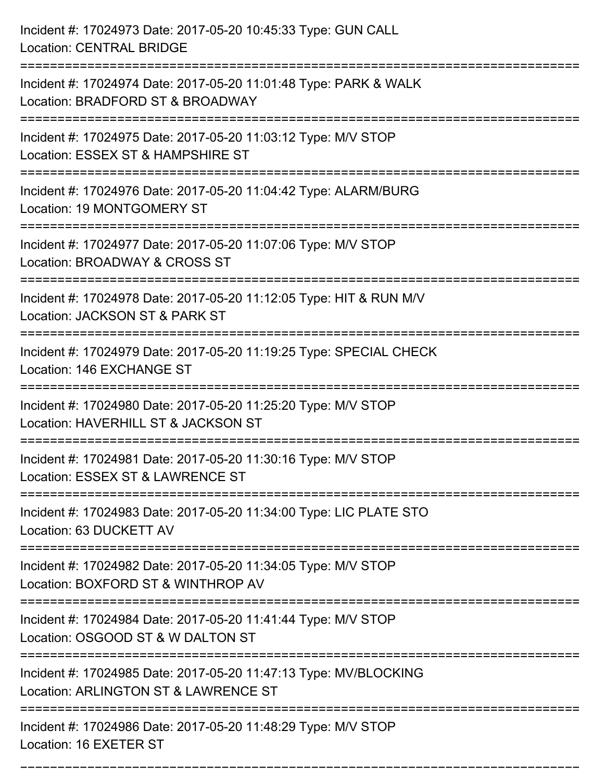| Incident #: 17024973 Date: 2017-05-20 10:45:33 Type: GUN CALL<br><b>Location: CENTRAL BRIDGE</b>                                               |
|------------------------------------------------------------------------------------------------------------------------------------------------|
| Incident #: 17024974 Date: 2017-05-20 11:01:48 Type: PARK & WALK<br>Location: BRADFORD ST & BROADWAY                                           |
| Incident #: 17024975 Date: 2017-05-20 11:03:12 Type: M/V STOP<br>Location: ESSEX ST & HAMPSHIRE ST                                             |
| Incident #: 17024976 Date: 2017-05-20 11:04:42 Type: ALARM/BURG<br>Location: 19 MONTGOMERY ST                                                  |
| Incident #: 17024977 Date: 2017-05-20 11:07:06 Type: M/V STOP<br>Location: BROADWAY & CROSS ST                                                 |
| Incident #: 17024978 Date: 2017-05-20 11:12:05 Type: HIT & RUN M/V<br>Location: JACKSON ST & PARK ST                                           |
| Incident #: 17024979 Date: 2017-05-20 11:19:25 Type: SPECIAL CHECK<br>Location: 146 EXCHANGE ST<br>===============================             |
| Incident #: 17024980 Date: 2017-05-20 11:25:20 Type: M/V STOP<br>Location: HAVERHILL ST & JACKSON ST                                           |
| Incident #: 17024981 Date: 2017-05-20 11:30:16 Type: M/V STOP<br>Location: ESSEX ST & LAWRENCE ST                                              |
| Incident #: 17024983 Date: 2017-05-20 11:34:00 Type: LIC PLATE STO<br>Location: 63 DUCKETT AV                                                  |
| Incident #: 17024982 Date: 2017-05-20 11:34:05 Type: M/V STOP<br>Location: BOXFORD ST & WINTHROP AV                                            |
| Incident #: 17024984 Date: 2017-05-20 11:41:44 Type: M/V STOP<br>Location: OSGOOD ST & W DALTON ST                                             |
| ==================================<br>Incident #: 17024985 Date: 2017-05-20 11:47:13 Type: MV/BLOCKING<br>Location: ARLINGTON ST & LAWRENCE ST |
| Incident #: 17024986 Date: 2017-05-20 11:48:29 Type: M/V STOP<br>Location: 16 EXETER ST                                                        |

===========================================================================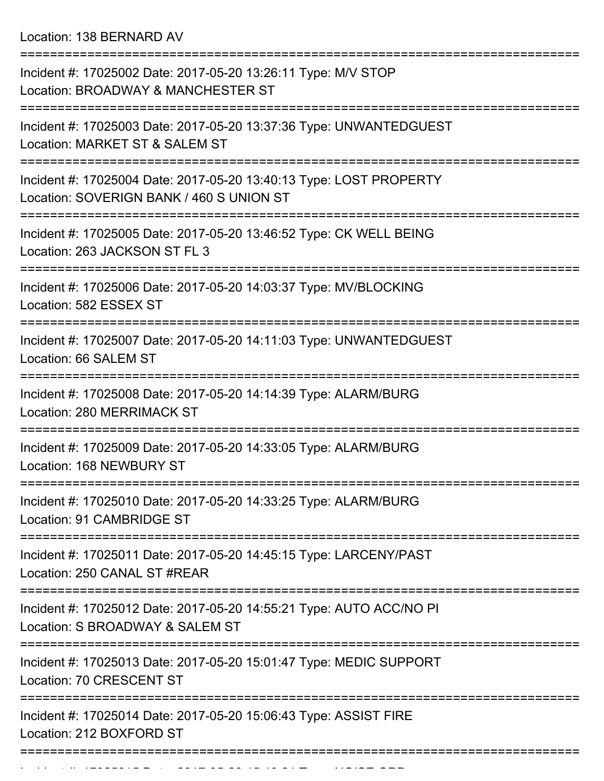Location: 138 BERNARD AV

| Incident #: 17025002 Date: 2017-05-20 13:26:11 Type: M/V STOP<br>Location: BROADWAY & MANCHESTER ST            |
|----------------------------------------------------------------------------------------------------------------|
| Incident #: 17025003 Date: 2017-05-20 13:37:36 Type: UNWANTEDGUEST<br>Location: MARKET ST & SALEM ST           |
| Incident #: 17025004 Date: 2017-05-20 13:40:13 Type: LOST PROPERTY<br>Location: SOVERIGN BANK / 460 S UNION ST |
| Incident #: 17025005 Date: 2017-05-20 13:46:52 Type: CK WELL BEING<br>Location: 263 JACKSON ST FL 3            |
| Incident #: 17025006 Date: 2017-05-20 14:03:37 Type: MV/BLOCKING<br>Location: 582 ESSEX ST                     |
| Incident #: 17025007 Date: 2017-05-20 14:11:03 Type: UNWANTEDGUEST<br>Location: 66 SALEM ST                    |
| Incident #: 17025008 Date: 2017-05-20 14:14:39 Type: ALARM/BURG<br>Location: 280 MERRIMACK ST                  |
| Incident #: 17025009 Date: 2017-05-20 14:33:05 Type: ALARM/BURG<br>Location: 168 NEWBURY ST                    |
| Incident #: 17025010 Date: 2017-05-20 14:33:25 Type: ALARM/BURG<br>Location: 91 CAMBRIDGE ST                   |
| Incident #: 17025011 Date: 2017-05-20 14:45:15 Type: LARCENY/PAST<br>Location: 250 CANAL ST #REAR              |
| Incident #: 17025012 Date: 2017-05-20 14:55:21 Type: AUTO ACC/NO PI<br>Location: S BROADWAY & SALEM ST         |
| Incident #: 17025013 Date: 2017-05-20 15:01:47 Type: MEDIC SUPPORT<br>Location: 70 CRESCENT ST                 |
| Incident #: 17025014 Date: 2017-05-20 15:06:43 Type: ASSIST FIRE<br>Location: 212 BOXFORD ST                   |
|                                                                                                                |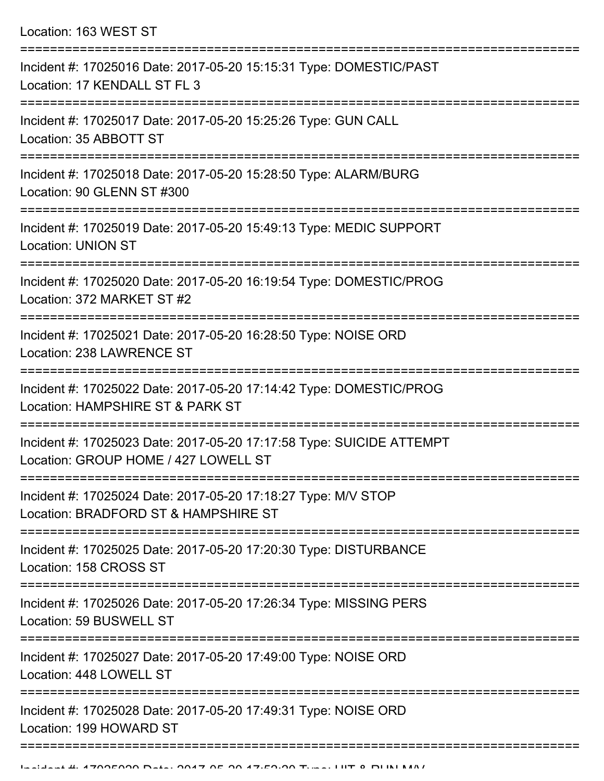Location: 163 WEST ST =========================================================================== Incident #: 17025016 Date: 2017-05-20 15:15:31 Type: DOMESTIC/PAST Location: 17 KENDALL ST FL 3 =========================================================================== Incident #: 17025017 Date: 2017-05-20 15:25:26 Type: GUN CALL Location: 35 ABBOTT ST =========================================================================== Incident #: 17025018 Date: 2017-05-20 15:28:50 Type: ALARM/BURG Location: 90 GLENN ST #300 =========================================================================== Incident #: 17025019 Date: 2017-05-20 15:49:13 Type: MEDIC SUPPORT Location: UNION ST =========================================================================== Incident #: 17025020 Date: 2017-05-20 16:19:54 Type: DOMESTIC/PROG Location: 372 MARKET ST #2 =========================================================================== Incident #: 17025021 Date: 2017-05-20 16:28:50 Type: NOISE ORD Location: 238 LAWRENCE ST =========================================================================== Incident #: 17025022 Date: 2017-05-20 17:14:42 Type: DOMESTIC/PROG Location: HAMPSHIRE ST & PARK ST =========================================================================== Incident #: 17025023 Date: 2017-05-20 17:17:58 Type: SUICIDE ATTEMPT Location: GROUP HOME / 427 LOWELL ST =========================================================================== Incident #: 17025024 Date: 2017-05-20 17:18:27 Type: M/V STOP Location: BRADFORD ST & HAMPSHIRE ST =========================================================================== Incident #: 17025025 Date: 2017-05-20 17:20:30 Type: DISTURBANCE Location: 158 CROSS ST =========================================================================== Incident #: 17025026 Date: 2017-05-20 17:26:34 Type: MISSING PERS Location: 59 BUSWELL ST =========================================================================== Incident #: 17025027 Date: 2017-05-20 17:49:00 Type: NOISE ORD Location: 448 LOWELL ST =========================================================================== Incident #: 17025028 Date: 2017-05-20 17:49:31 Type: NOISE ORD Location: 199 HOWARD ST

===========================================================================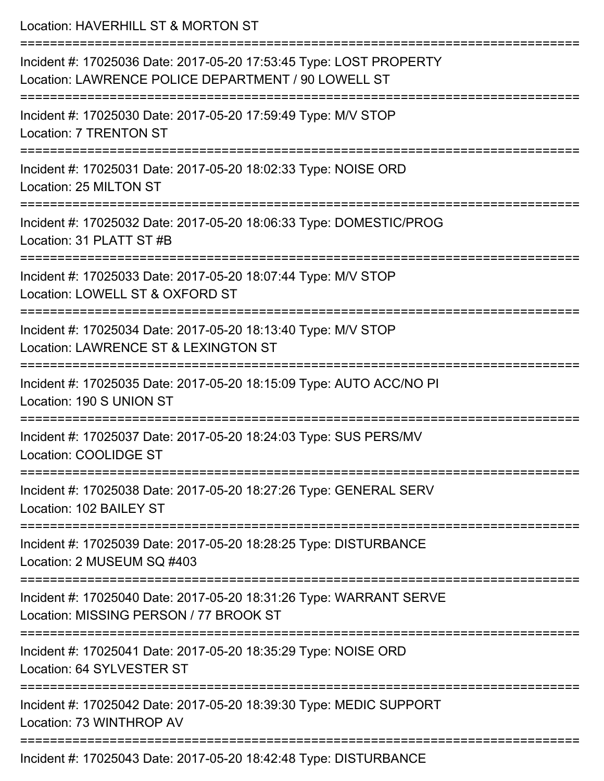| Location: HAVERHILL ST & MORTON ST                                                                                                                |
|---------------------------------------------------------------------------------------------------------------------------------------------------|
| Incident #: 17025036 Date: 2017-05-20 17:53:45 Type: LOST PROPERTY<br>Location: LAWRENCE POLICE DEPARTMENT / 90 LOWELL ST<br>-------------------- |
| Incident #: 17025030 Date: 2017-05-20 17:59:49 Type: M/V STOP<br><b>Location: 7 TRENTON ST</b>                                                    |
| Incident #: 17025031 Date: 2017-05-20 18:02:33 Type: NOISE ORD<br>Location: 25 MILTON ST                                                          |
| Incident #: 17025032 Date: 2017-05-20 18:06:33 Type: DOMESTIC/PROG<br>Location: 31 PLATT ST #B                                                    |
| Incident #: 17025033 Date: 2017-05-20 18:07:44 Type: M/V STOP<br>Location: LOWELL ST & OXFORD ST                                                  |
| Incident #: 17025034 Date: 2017-05-20 18:13:40 Type: M/V STOP<br>Location: LAWRENCE ST & LEXINGTON ST                                             |
| Incident #: 17025035 Date: 2017-05-20 18:15:09 Type: AUTO ACC/NO PI<br>Location: 190 S UNION ST                                                   |
| Incident #: 17025037 Date: 2017-05-20 18:24:03 Type: SUS PERS/MV<br>Location: COOLIDGE ST                                                         |
| Incident #: 17025038 Date: 2017-05-20 18:27:26 Type: GENERAL SERV<br>Location: 102 BAILEY ST                                                      |
| Incident #: 17025039 Date: 2017-05-20 18:28:25 Type: DISTURBANCE<br>Location: 2 MUSEUM SQ #403                                                    |
| Incident #: 17025040 Date: 2017-05-20 18:31:26 Type: WARRANT SERVE<br>Location: MISSING PERSON / 77 BROOK ST                                      |
| Incident #: 17025041 Date: 2017-05-20 18:35:29 Type: NOISE ORD<br>Location: 64 SYLVESTER ST                                                       |
| Incident #: 17025042 Date: 2017-05-20 18:39:30 Type: MEDIC SUPPORT<br>Location: 73 WINTHROP AV                                                    |
|                                                                                                                                                   |

Incident #: 17025043 Date: 2017-05-20 18:42:48 Type: DISTURBANCE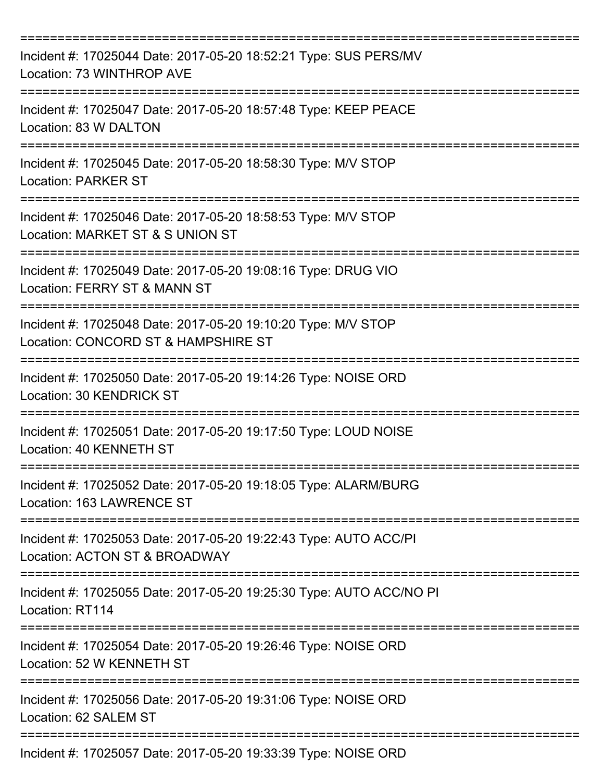| Incident #: 17025044 Date: 2017-05-20 18:52:21 Type: SUS PERS/MV<br>Location: 73 WINTHROP AVE        |
|------------------------------------------------------------------------------------------------------|
| Incident #: 17025047 Date: 2017-05-20 18:57:48 Type: KEEP PEACE<br>Location: 83 W DALTON             |
| Incident #: 17025045 Date: 2017-05-20 18:58:30 Type: M/V STOP<br><b>Location: PARKER ST</b>          |
| Incident #: 17025046 Date: 2017-05-20 18:58:53 Type: M/V STOP<br>Location: MARKET ST & S UNION ST    |
| Incident #: 17025049 Date: 2017-05-20 19:08:16 Type: DRUG VIO<br>Location: FERRY ST & MANN ST        |
| Incident #: 17025048 Date: 2017-05-20 19:10:20 Type: M/V STOP<br>Location: CONCORD ST & HAMPSHIRE ST |
| Incident #: 17025050 Date: 2017-05-20 19:14:26 Type: NOISE ORD<br>Location: 30 KENDRICK ST           |
| Incident #: 17025051 Date: 2017-05-20 19:17:50 Type: LOUD NOISE<br>Location: 40 KENNETH ST           |
| Incident #: 17025052 Date: 2017-05-20 19:18:05 Type: ALARM/BURG<br>Location: 163 LAWRENCE ST         |
| Incident #: 17025053 Date: 2017-05-20 19:22:43 Type: AUTO ACC/PI<br>Location: ACTON ST & BROADWAY    |
| Incident #: 17025055 Date: 2017-05-20 19:25:30 Type: AUTO ACC/NO PI<br>Location: RT114               |
| Incident #: 17025054 Date: 2017-05-20 19:26:46 Type: NOISE ORD<br>Location: 52 W KENNETH ST          |
| Incident #: 17025056 Date: 2017-05-20 19:31:06 Type: NOISE ORD<br>Location: 62 SALEM ST              |
| Incident #: 17025057 Date: 2017-05-20 19:33:39 Type: NOISE ORD                                       |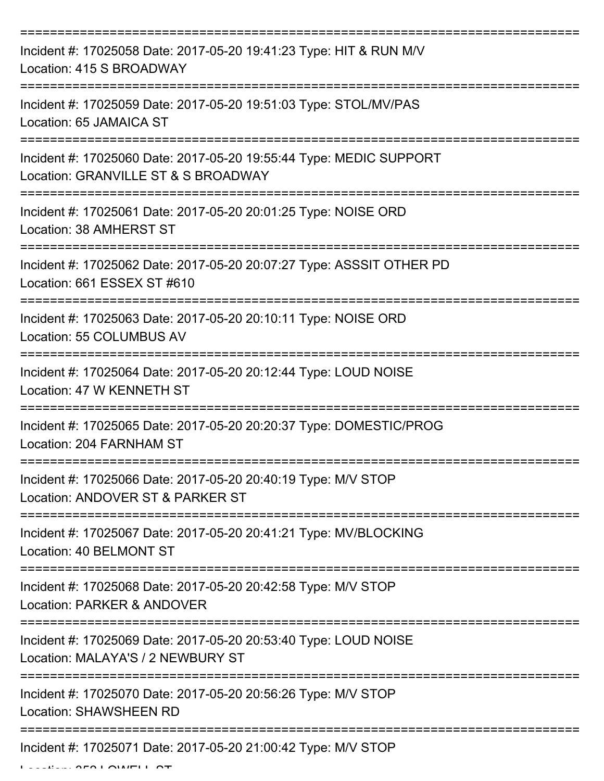| Incident #: 17025058 Date: 2017-05-20 19:41:23 Type: HIT & RUN M/V<br>Location: 415 S BROADWAY            |
|-----------------------------------------------------------------------------------------------------------|
| Incident #: 17025059 Date: 2017-05-20 19:51:03 Type: STOL/MV/PAS<br>Location: 65 JAMAICA ST               |
| Incident #: 17025060 Date: 2017-05-20 19:55:44 Type: MEDIC SUPPORT<br>Location: GRANVILLE ST & S BROADWAY |
| Incident #: 17025061 Date: 2017-05-20 20:01:25 Type: NOISE ORD<br>Location: 38 AMHERST ST                 |
| Incident #: 17025062 Date: 2017-05-20 20:07:27 Type: ASSSIT OTHER PD<br>Location: 661 ESSEX ST #610       |
| Incident #: 17025063 Date: 2017-05-20 20:10:11 Type: NOISE ORD<br>Location: 55 COLUMBUS AV                |
| Incident #: 17025064 Date: 2017-05-20 20:12:44 Type: LOUD NOISE<br>Location: 47 W KENNETH ST<br>========= |
| Incident #: 17025065 Date: 2017-05-20 20:20:37 Type: DOMESTIC/PROG<br>Location: 204 FARNHAM ST            |
| Incident #: 17025066 Date: 2017-05-20 20:40:19 Type: M/V STOP<br>Location: ANDOVER ST & PARKER ST         |
| Incident #: 17025067 Date: 2017-05-20 20:41:21 Type: MV/BLOCKING<br>Location: 40 BELMONT ST               |
| Incident #: 17025068 Date: 2017-05-20 20:42:58 Type: M/V STOP<br>Location: PARKER & ANDOVER               |
| Incident #: 17025069 Date: 2017-05-20 20:53:40 Type: LOUD NOISE<br>Location: MALAYA'S / 2 NEWBURY ST      |
| Incident #: 17025070 Date: 2017-05-20 20:56:26 Type: M/V STOP<br><b>Location: SHAWSHEEN RD</b>            |
| Incident #: 17025071 Date: 2017-05-20 21:00:42 Type: M/V STOP                                             |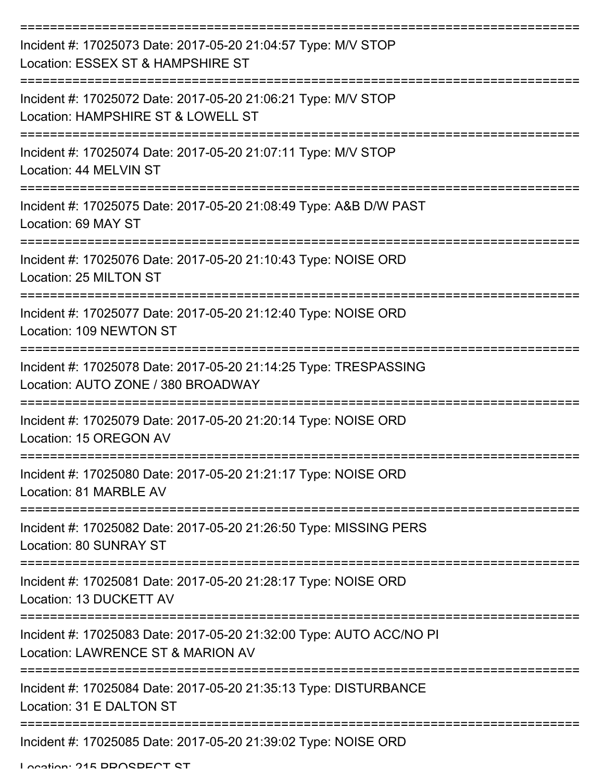| Incident #: 17025073 Date: 2017-05-20 21:04:57 Type: M/V STOP<br>Location: ESSEX ST & HAMPSHIRE ST                    |
|-----------------------------------------------------------------------------------------------------------------------|
| Incident #: 17025072 Date: 2017-05-20 21:06:21 Type: M/V STOP<br>Location: HAMPSHIRE ST & LOWELL ST                   |
| Incident #: 17025074 Date: 2017-05-20 21:07:11 Type: M/V STOP<br>Location: 44 MELVIN ST                               |
| Incident #: 17025075 Date: 2017-05-20 21:08:49 Type: A&B D/W PAST<br>Location: 69 MAY ST                              |
| Incident #: 17025076 Date: 2017-05-20 21:10:43 Type: NOISE ORD<br>Location: 25 MILTON ST                              |
| Incident #: 17025077 Date: 2017-05-20 21:12:40 Type: NOISE ORD<br>Location: 109 NEWTON ST                             |
| Incident #: 17025078 Date: 2017-05-20 21:14:25 Type: TRESPASSING<br>Location: AUTO ZONE / 380 BROADWAY                |
| Incident #: 17025079 Date: 2017-05-20 21:20:14 Type: NOISE ORD<br>Location: 15 OREGON AV                              |
| Incident #: 17025080 Date: 2017-05-20 21:21:17 Type: NOISE ORD<br>Location: 81 MARBLE AV                              |
| ======================<br>Incident #: 17025082 Date: 2017-05-20 21:26:50 Type: MISSING PERS<br>Location: 80 SUNRAY ST |
| Incident #: 17025081 Date: 2017-05-20 21:28:17 Type: NOISE ORD<br>Location: 13 DUCKETT AV                             |
| Incident #: 17025083 Date: 2017-05-20 21:32:00 Type: AUTO ACC/NO PI<br>Location: LAWRENCE ST & MARION AV              |
| Incident #: 17025084 Date: 2017-05-20 21:35:13 Type: DISTURBANCE<br>Location: 31 E DALTON ST                          |
| Incident #: 17025085 Date: 2017-05-20 21:39:02 Type: NOISE ORD                                                        |

Location: 215 DDOSDECT ST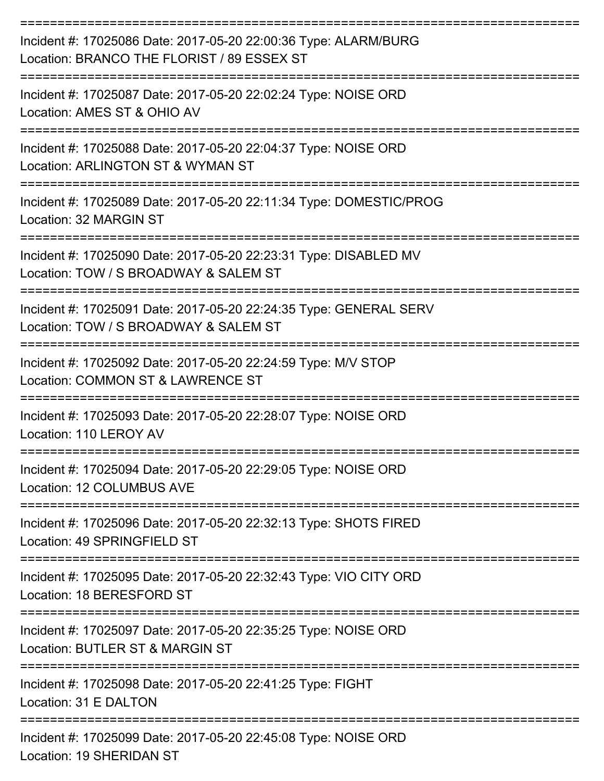| Incident #: 17025086 Date: 2017-05-20 22:00:36 Type: ALARM/BURG<br>Location: BRANCO THE FLORIST / 89 ESSEX ST |
|---------------------------------------------------------------------------------------------------------------|
| Incident #: 17025087 Date: 2017-05-20 22:02:24 Type: NOISE ORD<br>Location: AMES ST & OHIO AV                 |
| Incident #: 17025088 Date: 2017-05-20 22:04:37 Type: NOISE ORD<br>Location: ARLINGTON ST & WYMAN ST           |
| Incident #: 17025089 Date: 2017-05-20 22:11:34 Type: DOMESTIC/PROG<br>Location: 32 MARGIN ST                  |
| Incident #: 17025090 Date: 2017-05-20 22:23:31 Type: DISABLED MV<br>Location: TOW / S BROADWAY & SALEM ST     |
| Incident #: 17025091 Date: 2017-05-20 22:24:35 Type: GENERAL SERV<br>Location: TOW / S BROADWAY & SALEM ST    |
| Incident #: 17025092 Date: 2017-05-20 22:24:59 Type: M/V STOP<br>Location: COMMON ST & LAWRENCE ST            |
| Incident #: 17025093 Date: 2017-05-20 22:28:07 Type: NOISE ORD<br>Location: 110 LEROY AV                      |
| Incident #: 17025094 Date: 2017-05-20 22:29:05 Type: NOISE ORD<br>Location: 12 COLUMBUS AVE                   |
| Incident #: 17025096 Date: 2017-05-20 22:32:13 Type: SHOTS FIRED<br>Location: 49 SPRINGFIELD ST               |
| Incident #: 17025095 Date: 2017-05-20 22:32:43 Type: VIO CITY ORD<br>Location: 18 BERESFORD ST                |
| Incident #: 17025097 Date: 2017-05-20 22:35:25 Type: NOISE ORD<br>Location: BUTLER ST & MARGIN ST             |
| Incident #: 17025098 Date: 2017-05-20 22:41:25 Type: FIGHT<br>Location: 31 E DALTON                           |
| Incident #: 17025099 Date: 2017-05-20 22:45:08 Type: NOISE ORD<br>Location: 19 SHERIDAN ST                    |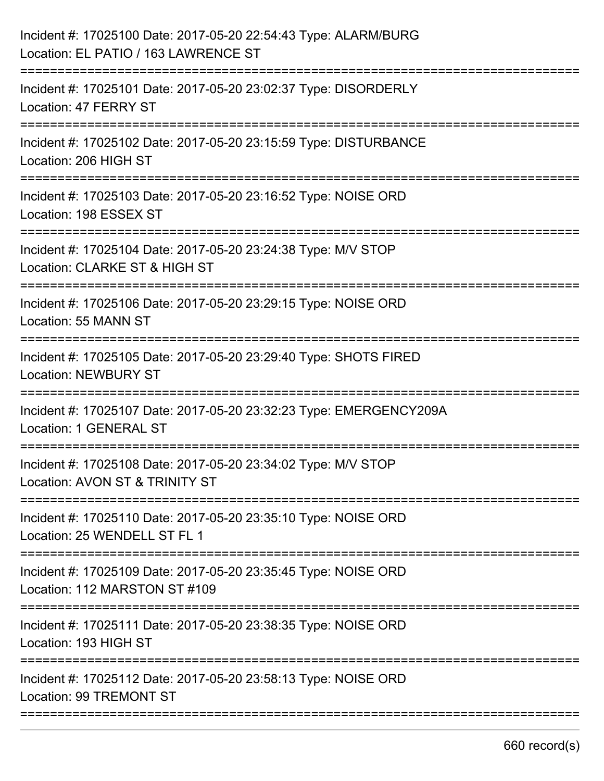| Incident #: 17025100 Date: 2017-05-20 22:54:43 Type: ALARM/BURG<br>Location: EL PATIO / 163 LAWRENCE ST                      |
|------------------------------------------------------------------------------------------------------------------------------|
| Incident #: 17025101 Date: 2017-05-20 23:02:37 Type: DISORDERLY<br>Location: 47 FERRY ST                                     |
| Incident #: 17025102 Date: 2017-05-20 23:15:59 Type: DISTURBANCE<br>Location: 206 HIGH ST                                    |
| Incident #: 17025103 Date: 2017-05-20 23:16:52 Type: NOISE ORD<br>Location: 198 ESSEX ST                                     |
| Incident #: 17025104 Date: 2017-05-20 23:24:38 Type: M/V STOP<br>Location: CLARKE ST & HIGH ST                               |
| Incident #: 17025106 Date: 2017-05-20 23:29:15 Type: NOISE ORD<br>Location: 55 MANN ST                                       |
| Incident #: 17025105 Date: 2017-05-20 23:29:40 Type: SHOTS FIRED<br><b>Location: NEWBURY ST</b>                              |
| Incident #: 17025107 Date: 2017-05-20 23:32:23 Type: EMERGENCY209A<br>Location: 1 GENERAL ST                                 |
| Incident #: 17025108 Date: 2017-05-20 23:34:02 Type: M/V STOP<br>Location: AVON ST & TRINITY ST                              |
| Incident #: 17025110 Date: 2017-05-20 23:35:10 Type: NOISE ORD<br>Location: 25 WENDELL ST FL 1                               |
| =========================<br>Incident #: 17025109 Date: 2017-05-20 23:35:45 Type: NOISE ORD<br>Location: 112 MARSTON ST #109 |
| Incident #: 17025111 Date: 2017-05-20 23:38:35 Type: NOISE ORD<br>Location: 193 HIGH ST                                      |
| Incident #: 17025112 Date: 2017-05-20 23:58:13 Type: NOISE ORD<br>Location: 99 TREMONT ST                                    |
|                                                                                                                              |